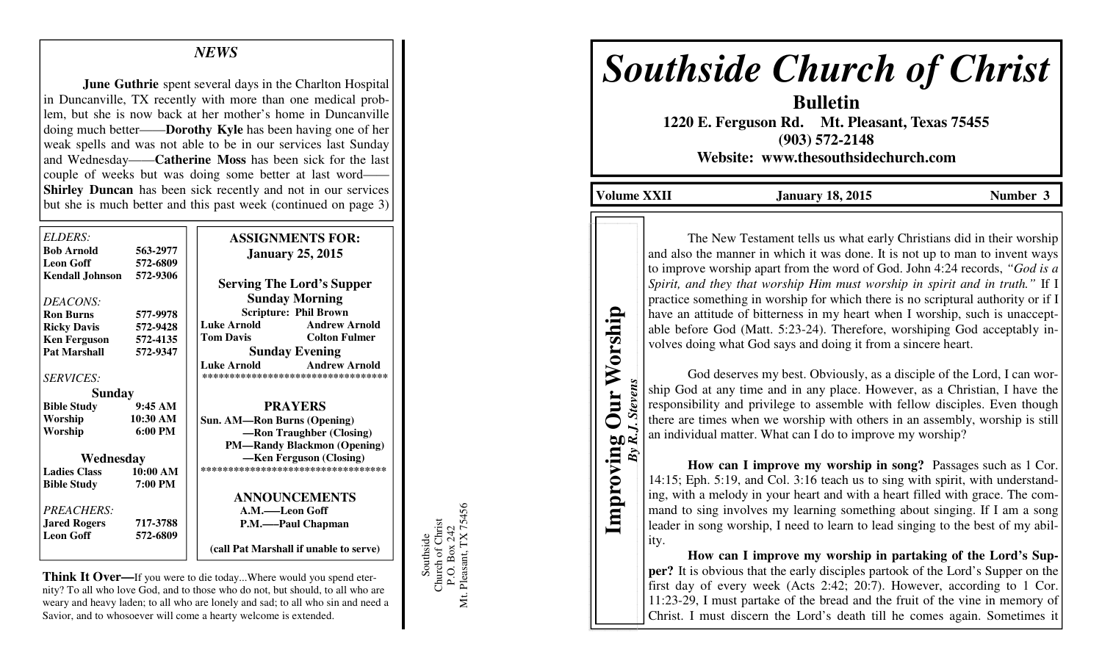# *NEWS*

**June Guthrie** spent several days in the Charlton Hospital in Duncanville, TX recently with more than one medical problem, but she is now back at her mother's home in Duncanville doing much better——**Dorothy Kyle** has been having one of her weak spells and was not able to be in our services last Sunday and Wednesday——**Catherine Moss** has been sick for the last couple of weeks but was doing some better at last word- **Shirley Duncan** has been sick recently and not in our services but she is much better and this past week (continued on page 3)

| ELDERS:                  |                   | <b>ASSIGNMENTS FOR:</b>                    |
|--------------------------|-------------------|--------------------------------------------|
| <b>Bob Arnold</b>        | 563-2977          | <b>January 25, 2015</b>                    |
| <b>Leon Goff</b>         | 572-6809          |                                            |
| Kendall Johnson 572-9306 |                   | <b>Serving The Lord's Supper</b>           |
| <i>DEACONS:</i>          |                   | <b>Sunday Morning</b>                      |
| <b>Ron Burns</b>         | 577-9978          | <b>Scripture: Phil Brown</b>               |
| <b>Ricky Davis</b>       | 572-9428          | <b>Luke Arnold</b><br><b>Andrew Arnold</b> |
| <b>Ken Ferguson</b>      | 572-4135          | <b>Tom Davis</b><br><b>Colton Fulmer</b>   |
| <b>Pat Marshall</b>      | 572-9347          | <b>Sunday Evening</b>                      |
|                          |                   | <b>Luke Arnold</b><br><b>Andrew Arnold</b> |
| <i>SERVICES:</i>         |                   | ***********************************        |
| <b>Sunday</b>            |                   |                                            |
| <b>Bible Study</b>       | 9:45AM            | <b>PRAYERS</b>                             |
| Worship                  | 10:30 AM          | <b>Sun. AM—Ron Burns (Opening)</b>         |
| Worship                  | $6:00 \text{ PM}$ | -Ron Traughber (Closing)                   |
|                          |                   | <b>PM-Randy Blackmon (Opening)</b>         |
| Wednesday                |                   | -Ken Ferguson (Closing)                    |
| <b>Ladies Class</b>      | 10:00 AM          | ***********************************        |
| <b>Bible Study</b>       | 7:00 PM           |                                            |
|                          |                   | <b>ANNOUNCEMENTS</b>                       |
| <b>PREACHERS:</b>        |                   | A.M.——Leon Goff                            |
| <b>Jared Rogers</b>      | 717-3788          | P.M.——Paul Chapman                         |
| <b>Leon Goff</b>         | 572-6809          |                                            |
|                          |                   | (call Pat Marshall if unable to serve)     |

**Think It Over—**If you were to die today...Where would you spend eternity? To all who love God, and to those who do not, but should, to all who are weary and heavy laden; to all who are lonely and sad; to all who sin and need a Savior, and to whosoever will come a hearty welcome is extended.

Southside<br>Church of Christ<br>P.O. Box 242<br>Mt. Pleasant, TX 75456 Mt. Pleasant, TX 75456 Church of Christ P.O. Box 242 Southside

# *Southside Church of Christ*

**Bulletin 1220 E. Ferguson Rd. Mt. Pleasant, Texas 75455 (903) 572-2148 Website: www.thesouthsidechurch.com** 

Volume XXII **January 18, 2015** Number 3

**Improving Our Worship**  *By R.J. Stevens* 

Improving

**Stevens** 

By

Our Worship

The New Testament tells us what early Christians did in their worship and also the manner in which it was done. It is not up to man to invent ways to improve worship apart from the word of God. John 4:24 records, *"God is a Spirit, and they that worship Him must worship in spirit and in truth."* If I practice something in worship for which there is no scriptural authority or if I have an attitude of bitterness in my heart when I worship, such is unacceptable before God (Matt. 5:23-24). Therefore, worshiping God acceptably involves doing what God says and doing it from a sincere heart.

 God deserves my best. Obviously, as a disciple of the Lord, I can worship God at any time and in any place. However, as a Christian, I have the responsibility and privilege to assemble with fellow disciples. Even though there are times when we worship with others in an assembly, worship is still an individual matter. What can I do to improve my worship?

**How can I improve my worship in song?** Passages such as 1 Cor. 14:15; Eph. 5:19, and Col. 3:16 teach us to sing with spirit, with understanding, with a melody in your heart and with a heart filled with grace. The command to sing involves my learning something about singing. If I am a song leader in song worship, I need to learn to lead singing to the best of my ability.

**How can I improve my worship in partaking of the Lord's Supper?** It is obvious that the early disciples partook of the Lord's Supper on the first day of every week (Acts 2:42; 20:7). However, according to 1 Cor. 11:23-29, I must partake of the bread and the fruit of the vine in memory of Christ. I must discern the Lord's death till he comes again. Sometimes it